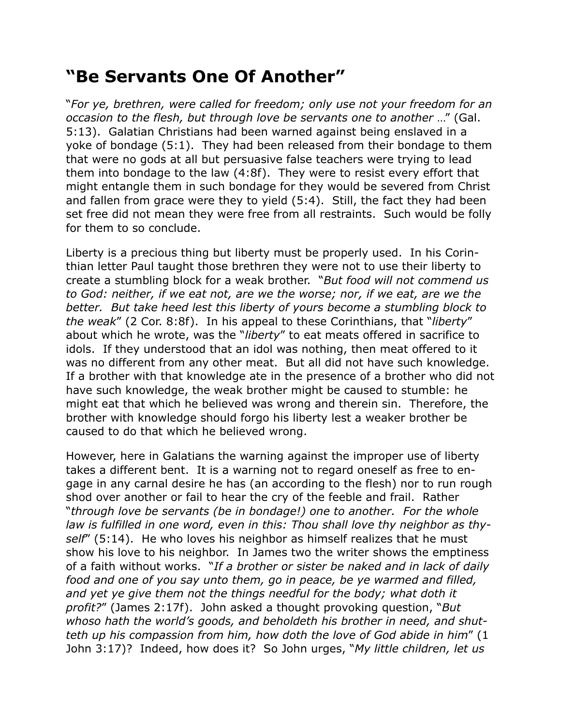## **"Be Servants One Of Another"**

"*For ye, brethren, were called for freedom; only use not your freedom for an occasion to the flesh, but through love be servants one to another* …" (Gal. 5:13). Galatian Christians had been warned against being enslaved in a yoke of bondage (5:1). They had been released from their bondage to them that were no gods at all but persuasive false teachers were trying to lead them into bondage to the law (4:8f). They were to resist every effort that might entangle them in such bondage for they would be severed from Christ and fallen from grace were they to yield (5:4). Still, the fact they had been set free did not mean they were free from all restraints. Such would be folly for them to so conclude.

Liberty is a precious thing but liberty must be properly used. In his Corinthian letter Paul taught those brethren they were not to use their liberty to create a stumbling block for a weak brother. "*But food will not commend us to God: neither, if we eat not, are we the worse; nor, if we eat, are we the better. But take heed lest this liberty of yours become a stumbling block to the weak*" (2 Cor. 8:8f). In his appeal to these Corinthians, that "*liberty*" about which he wrote, was the "*liberty*" to eat meats offered in sacrifice to idols. If they understood that an idol was nothing, then meat offered to it was no different from any other meat. But all did not have such knowledge. If a brother with that knowledge ate in the presence of a brother who did not have such knowledge, the weak brother might be caused to stumble: he might eat that which he believed was wrong and therein sin. Therefore, the brother with knowledge should forgo his liberty lest a weaker brother be caused to do that which he believed wrong.

However, here in Galatians the warning against the improper use of liberty takes a different bent. It is a warning not to regard oneself as free to engage in any carnal desire he has (an according to the flesh) nor to run rough shod over another or fail to hear the cry of the feeble and frail. Rather "*through love be servants (be in bondage!) one to another. For the whole law is fulfilled in one word, even in this: Thou shall love thy neighbor as thyself*" (5:14). He who loves his neighbor as himself realizes that he must show his love to his neighbor. In James two the writer shows the emptiness of a faith without works. "*If a brother or sister be naked and in lack of daily food and one of you say unto them, go in peace, be ye warmed and filled, and yet ye give them not the things needful for the body; what doth it profit?*" (James 2:17f). John asked a thought provoking question, "*But whoso hath the world's goods, and beholdeth his brother in need, and shutteth up his compassion from him, how doth the love of God abide in him*" (1 John 3:17)? Indeed, how does it? So John urges, "*My little children, let us*